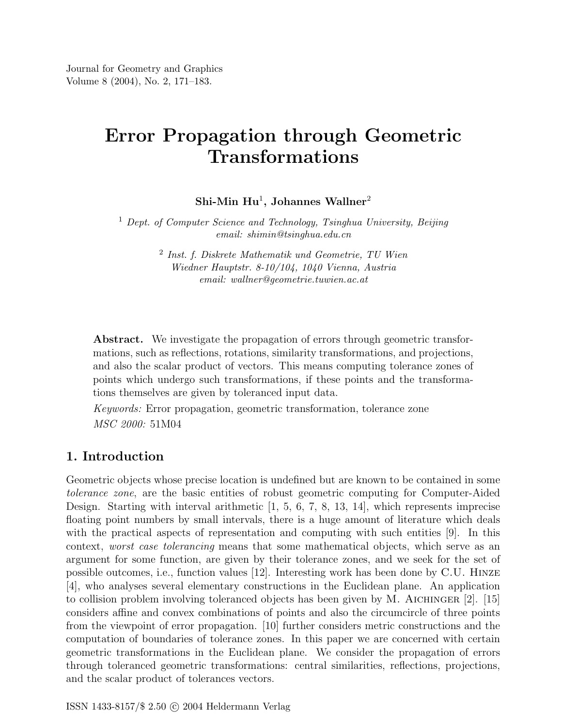# Error Propagation through Geometric Transformations

 $\mathrm{Shi}\text{-}\mathrm{Min} \;\mathrm{Hu}^1, \,\mathrm{Johannes} \;\mathrm{Wallner}^2$ 

<sup>1</sup> Dept. of Computer Science and Technology, Tsinghua University, Beijing email: shimin@tsinghua.edu.cn

> 2 Inst. f. Diskrete Mathematik und Geometrie, TU Wien Wiedner Hauptstr. 8-10/104, 1040 Vienna, Austria email: wallner@geometrie.tuwien.ac.at

Abstract. We investigate the propagation of errors through geometric transformations, such as reflections, rotations, similarity transformations, and projections, and also the scalar product of vectors. This means computing tolerance zones of points which undergo such transformations, if these points and the transformations themselves are given by toleranced input data.

Keywords: Error propagation, geometric transformation, tolerance zone MSC 2000: 51M04

## 1. Introduction

Geometric objects whose precise location is undefined but are known to be contained in some tolerance zone, are the basic entities of robust geometric computing for Computer-Aided Design. Starting with interval arithmetic  $[1, 5, 6, 7, 8, 13, 14]$ , which represents imprecise floating point numbers by small intervals, there is a huge amount of literature which deals with the practical aspects of representation and computing with such entities [9]. In this context, worst case tolerancing means that some mathematical objects, which serve as an argument for some function, are given by their tolerance zones, and we seek for the set of possible outcomes, i.e., function values [12]. Interesting work has been done by C.U. Hinze [4], who analyses several elementary constructions in the Euclidean plane. An application to collision problem involving toleranced objects has been given by M. AICHINGER  $[2]$ . [15] considers affine and convex combinations of points and also the circumcircle of three points from the viewpoint of error propagation. [10] further considers metric constructions and the computation of boundaries of tolerance zones. In this paper we are concerned with certain geometric transformations in the Euclidean plane. We consider the propagation of errors through toleranced geometric transformations: central similarities, reflections, projections, and the scalar product of tolerances vectors.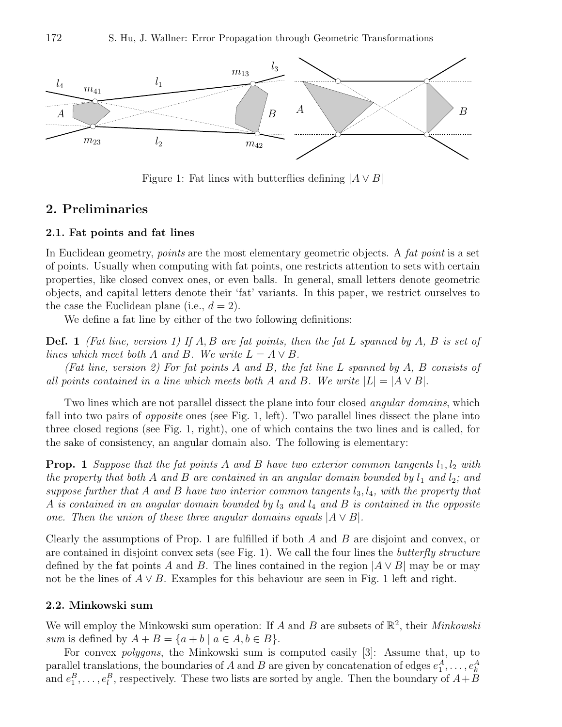

Figure 1: Fat lines with butterflies defining  $|A \vee B|$ 

## 2. Preliminaries

#### 2.1. Fat points and fat lines

In Euclidean geometry, *points* are the most elementary geometric objects. A *fat point* is a set of points. Usually when computing with fat points, one restricts attention to sets with certain properties, like closed convex ones, or even balls. In general, small letters denote geometric objects, and capital letters denote their 'fat' variants. In this paper, we restrict ourselves to the case the Euclidean plane (i.e.,  $d = 2$ ).

We define a fat line by either of the two following definitions:

**Def.** 1 (Fat line, version 1) If  $A, B$  are fat points, then the fat L spanned by  $A, B$  is set of lines which meet both A and B. We write  $L = A \vee B$ .

(Fat line, version 2) For fat points A and B, the fat line L spanned by A, B consists of all points contained in a line which meets both A and B. We write  $|L| = |A \vee B|$ .

Two lines which are not parallel dissect the plane into four closed *angular domains*, which fall into two pairs of *opposite* ones (see Fig. 1, left). Two parallel lines dissect the plane into three closed regions (see Fig. 1, right), one of which contains the two lines and is called, for the sake of consistency, an angular domain also. The following is elementary:

**Prop.** 1 Suppose that the fat points A and B have two exterior common tangents  $l_1, l_2$  with the property that both A and B are contained in an angular domain bounded by  $l_1$  and  $l_2$ ; and suppose further that A and B have two interior common tangents  $l_3, l_4$ , with the property that A is contained in an angular domain bounded by  $l_3$  and  $l_4$  and B is contained in the opposite one. Then the union of these three angular domains equals  $|A \vee B|$ .

Clearly the assumptions of Prop. 1 are fulfilled if both  $A$  and  $B$  are disjoint and convex, or are contained in disjoint convex sets (see Fig. 1). We call the four lines the *butterfly structure* defined by the fat points A and B. The lines contained in the region  $|A \vee B|$  may be or may not be the lines of  $A \vee B$ . Examples for this behaviour are seen in Fig. 1 left and right.

#### 2.2. Minkowski sum

We will employ the Minkowski sum operation: If A and B are subsets of  $\mathbb{R}^2$ , their *Minkowski* sum is defined by  $A + B = \{a + b \mid a \in A, b \in B\}.$ 

For convex polygons, the Minkowski sum is computed easily [3]: Assume that, up to parallel translations, the boundaries of A and B are given by concatenation of edges  $e_1^A, \ldots, e_k^A$ and  $e_1^B, \ldots, e_l^B$ , respectively. These two lists are sorted by angle. Then the boundary of  $A + B$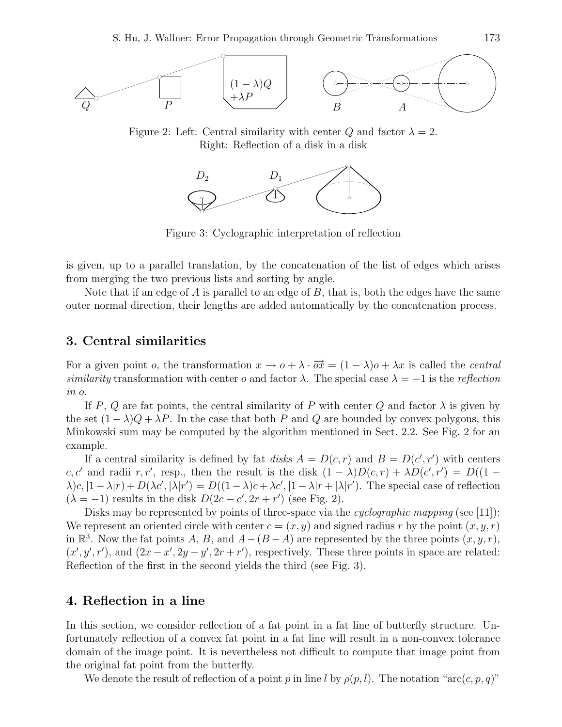

Figure 2: Left: Central similarity with center Q and factor  $\lambda = 2$ . Right: Reflection of a disk in a disk



Figure 3: Cyclographic interpretation of reflection

is given, up to a parallel translation, by the concatenation of the list of edges which arises from merging the two previous lists and sorting by angle.

Note that if an edge of  $A$  is parallel to an edge of  $B$ , that is, both the edges have the same outer normal direction, their lengths are added automatically by the concatenation process.

## 3. Central similarities

For a given point *o*, the transformation  $x \to o + \lambda \cdot \overrightarrow{ox} = (1 - \lambda)o + \lambda x$  is called the *central* similarity transformation with center o and factor  $\lambda$ . The special case  $\lambda = -1$  is the reflection in o.

If P, Q are fat points, the central similarity of P with center Q and factor  $\lambda$  is given by the set  $(1 - \lambda)Q + \lambda P$ . In the case that both P and Q are bounded by convex polygons, this Minkowski sum may be computed by the algorithm mentioned in Sect. 2.2. See Fig. 2 for an example.

If a central similarity is defined by fat disks  $A = D(c, r)$  and  $B = D(c', r')$  with centers c, c' and radii r, r', resp., then the result is the disk  $(1 - \lambda)D(c,r) + \lambda D(c',r') = D((1 \lambda(c, |1-\lambda|r) + D(\lambda c', |\lambda|r') = D((1-\lambda)c + \lambda c', |1-\lambda|r + |\lambda|r' )$ . The special case of reflection  $(\lambda = -1)$  results in the disk  $D(2c - c', 2r + r')$  (see Fig. 2).

Disks may be represented by points of three-space via the *cyclographic mapping* (see [11]): We represent an oriented circle with center  $c = (x, y)$  and signed radius r by the point  $(x, y, r)$ in  $\mathbb{R}^3$ . Now the fat points A, B, and  $A-(B-A)$  are represented by the three points  $(x, y, r)$ ,  $(x', y', r')$ , and  $(2x - x', 2y - y', 2r + r')$ , respectively. These three points in space are related: Reflection of the first in the second yields the third (see Fig. 3).

## 4. Reflection in a line

In this section, we consider reflection of a fat point in a fat line of butterfly structure. Unfortunately reflection of a convex fat point in a fat line will result in a non-convex tolerance domain of the image point. It is nevertheless not difficult to compute that image point from the original fat point from the butterfly.

We denote the result of reflection of a point p in line l by  $\rho(p, l)$ . The notation "arc(c, p, q)"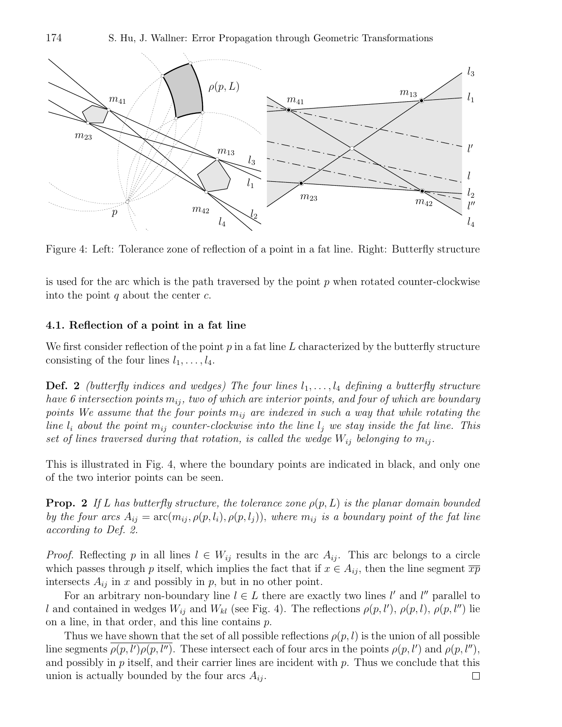174 S. Hu, J. Wallner: Error Propagation through Geometric Transformations



Figure 4: Left: Tolerance zone of reflection of a point in a fat line. Right: Butterfly structure

is used for the arc which is the path traversed by the point  $p$  when rotated counter-clockwise into the point  $q$  about the center  $c$ .

#### 4.1. Reflection of a point in a fat line

We first consider reflection of the point  $p$  in a fat line  $L$  characterized by the butterfly structure consisting of the four lines  $l_1, \ldots, l_4$ .

**Def. 2** (butterfly indices and wedges) The four lines  $l_1, \ldots, l_4$  defining a butterfly structure have 6 intersection points  $m_{ij}$ , two of which are interior points, and four of which are boundary points We assume that the four points  $m_{ij}$  are indexed in such a way that while rotating the line  $l_i$  about the point  $m_{ij}$  counter-clockwise into the line  $l_j$  we stay inside the fat line. This set of lines traversed during that rotation, is called the wedge  $W_{ij}$  belonging to  $m_{ij}$ .

This is illustrated in Fig. 4, where the boundary points are indicated in black, and only one of the two interior points can be seen.

**Prop.** 2 If L has butterfly structure, the tolerance zone  $\rho(p, L)$  is the planar domain bounded by the four arcs  $A_{ij} = \arctan_{ij} \rho(p, l_i), \rho(p, l_j)$ , where  $m_{ij}$  is a boundary point of the fat line according to Def. 2.

*Proof.* Reflecting p in all lines  $l \in W_{ij}$  results in the arc  $A_{ij}$ . This arc belongs to a circle which passes through p itself, which implies the fact that if  $x \in A_{ij}$ , then the line segment  $\overline{xp}$ intersects  $A_{ij}$  in x and possibly in p, but in no other point.

For an arbitrary non-boundary line  $l \in L$  there are exactly two lines l' and l'' parallel to l and contained in wedges  $W_{ij}$  and  $W_{kl}$  (see Fig. 4). The reflections  $\rho(p, l'), \rho(p, l), \rho(p, l'')$  lie on a line, in that order, and this line contains  $p$ .

Thus we have shown that the set of all possible reflections  $\rho(p, l)$  is the union of all possible line segments  $\overline{\rho(p,l')\rho(p,l'')}$ . These intersect each of four arcs in the points  $\rho(p,l')$  and  $\rho(p,l'')$ , and possibly in  $p$  itself, and their carrier lines are incident with  $p$ . Thus we conclude that this union is actually bounded by the four arcs  $A_{ij}$ .  $\Box$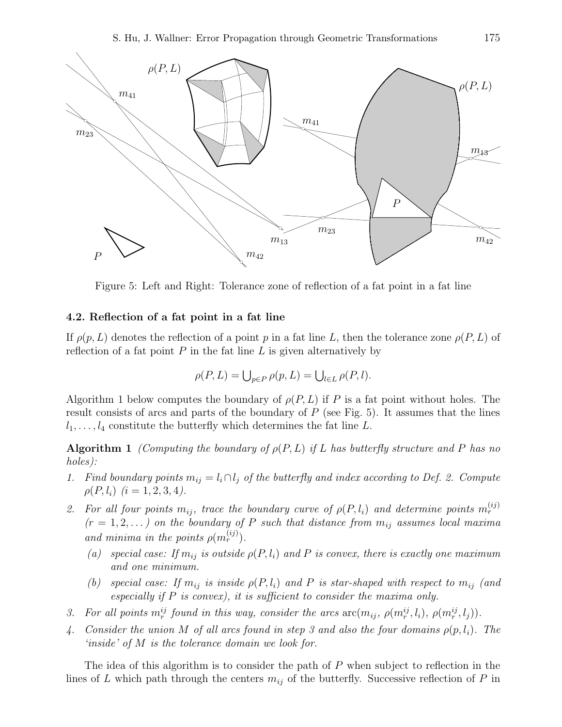

Figure 5: Left and Right: Tolerance zone of reflection of a fat point in a fat line

#### 4.2. Reflection of a fat point in a fat line

If  $\rho(p,L)$  denotes the reflection of a point p in a fat line L, then the tolerance zone  $\rho(P,L)$  of reflection of a fat point  $P$  in the fat line  $L$  is given alternatively by

$$
\rho(P, L) = \bigcup_{p \in P} \rho(p, L) = \bigcup_{l \in L} \rho(P, l).
$$

Algorithm 1 below computes the boundary of  $\rho(P, L)$  if P is a fat point without holes. The result consists of arcs and parts of the boundary of  $P$  (see Fig. 5). It assumes that the lines  $l_1, \ldots, l_4$  constitute the butterfly which determines the fat line L.

**Algorithm 1** (Computing the boundary of  $\rho(P, L)$  if L has butterfly structure and P has no holes):

- 1. Find boundary points  $m_{ij} = l_i \cap l_j$  of the butterfly and index according to Def. 2. Compute  $\rho(P, l_i)$   $(i = 1, 2, 3, 4).$
- 2. For all four points  $m_{ij}$ , trace the boundary curve of  $\rho(P, l_i)$  and determine points  $m_r^{(ij)}$  $(r = 1, 2, ...)$  on the boundary of P such that distance from  $m_{ij}$  assumes local maxima and minima in the points  $\rho(m_r^{(ij)})$ .
	- (a) special case: If  $m_{ij}$  is outside  $\rho(P, l_i)$  and P is convex, there is exactly one maximum and one minimum.
	- (b) special case: If  $m_{ij}$  is inside  $\rho(P, l_i)$  and P is star-shaped with respect to  $m_{ij}$  (and especially if  $P$  is convex), it is sufficient to consider the maxima only.
- 3. For all points  $m_r^{ij}$  found in this way, consider the arcs  $\arcm(m_{ij}, \rho(m_r^{ij}, l_i), \rho(m_r^{ij}, l_j)).$
- 4. Consider the union M of all arcs found in step 3 and also the four domains  $\rho(p, l_i)$ . The 'inside' of M is the tolerance domain we look for.

The idea of this algorithm is to consider the path of P when subject to reflection in the lines of L which path through the centers  $m_{ij}$  of the butterfly. Successive reflection of P in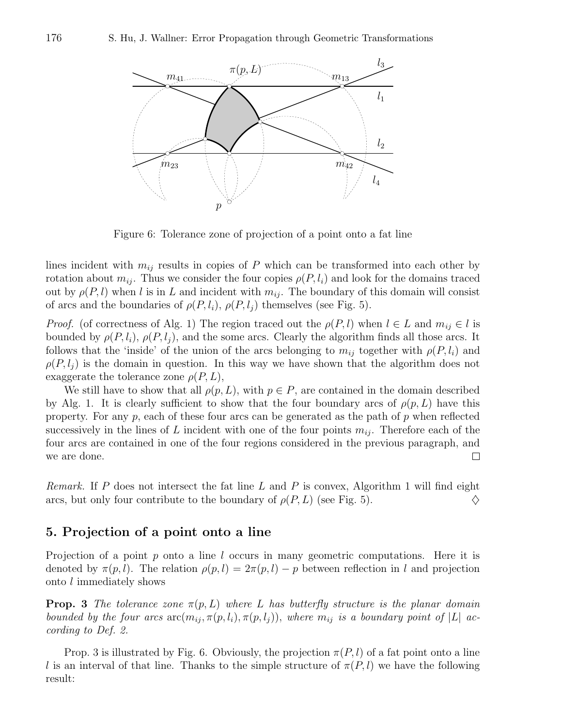

Figure 6: Tolerance zone of projection of a point onto a fat line

lines incident with  $m_{ij}$  results in copies of P which can be transformed into each other by rotation about  $m_{ij}$ . Thus we consider the four copies  $\rho(P, l_i)$  and look for the domains traced out by  $\rho(P, l)$  when l is in L and incident with  $m_{ij}$ . The boundary of this domain will consist of arcs and the boundaries of  $\rho(P, l_i)$ ,  $\rho(P, l_i)$  themselves (see Fig. 5).

*Proof.* (of correctness of Alg. 1) The region traced out the  $\rho(P, l)$  when  $l \in L$  and  $m_{ij} \in l$  is bounded by  $\rho(P, l_i)$ ,  $\rho(P, l_j)$ , and the some arcs. Clearly the algorithm finds all those arcs. It follows that the 'inside' of the union of the arcs belonging to  $m_{ij}$  together with  $\rho(P, l_i)$  and  $\rho(P, l_i)$  is the domain in question. In this way we have shown that the algorithm does not exaggerate the tolerance zone  $\rho(P, L)$ ,

We still have to show that all  $\rho(p, L)$ , with  $p \in P$ , are contained in the domain described by Alg. 1. It is clearly sufficient to show that the four boundary arcs of  $\rho(p, L)$  have this property. For any  $p$ , each of these four arcs can be generated as the path of  $p$  when reflected successively in the lines of L incident with one of the four points  $m_{ij}$ . Therefore each of the four arcs are contained in one of the four regions considered in the previous paragraph, and we are done. П

*Remark.* If P does not intersect the fat line L and P is convex, Algorithm 1 will find eight arcs, but only four contribute to the boundary of  $\rho(P, L)$  (see Fig. 5).

## 5. Projection of a point onto a line

Projection of a point  $p$  onto a line  $l$  occurs in many geometric computations. Here it is denoted by  $\pi(p, l)$ . The relation  $\rho(p, l) = 2\pi(p, l) - p$  between reflection in l and projection onto l immediately shows

**Prop.** 3 The tolerance zone  $\pi(p, L)$  where L has butterfly structure is the planar domain bounded by the four arcs  $\arctan_{ij} \pi(p, l_i), \pi(p, l_j)$ , where  $m_{ij}$  is a boundary point of |L| according to Def. 2.

Prop. 3 is illustrated by Fig. 6. Obviously, the projection  $\pi(P, l)$  of a fat point onto a line l is an interval of that line. Thanks to the simple structure of  $\pi(P, l)$  we have the following result: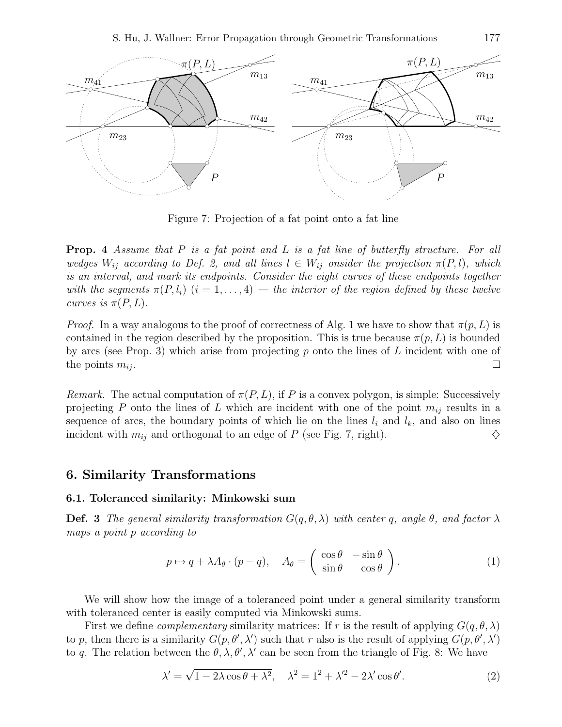

Figure 7: Projection of a fat point onto a fat line

**Prop.** 4 Assume that P is a fat point and L is a fat line of butterfly structure. For all wedges  $W_{ij}$  according to Def. 2, and all lines  $l \in W_{ij}$  onsider the projection  $\pi(P, l)$ , which is an interval, and mark its endpoints. Consider the eight curves of these endpoints together with the segments  $\pi(P, l_i)$   $(i = 1, ..., 4)$  — the interior of the region defined by these twelve curves is  $\pi(P,L)$ .

*Proof.* In a way analogous to the proof of correctness of Alg. 1 we have to show that  $\pi(p, L)$  is contained in the region described by the proposition. This is true because  $\pi(p, L)$  is bounded by arcs (see Prop. 3) which arise from projecting p onto the lines of  $L$  incident with one of the points  $m_{ij}$ .  $\Box$ 

Remark. The actual computation of  $\pi(P,L)$ , if P is a convex polygon, is simple: Successively projecting P onto the lines of L which are incident with one of the point  $m_{ij}$  results in a sequence of arcs, the boundary points of which lie on the lines  $l_i$  and  $l_k$ , and also on lines incident with  $m_{ij}$  and orthogonal to an edge of P (see Fig. 7, right).

## 6. Similarity Transformations

#### 6.1. Toleranced similarity: Minkowski sum

**Def. 3** The general similarity transformation  $G(q, \theta, \lambda)$  with center q, angle  $\theta$ , and factor  $\lambda$ maps a point p according to

$$
p \mapsto q + \lambda A_{\theta} \cdot (p - q), \quad A_{\theta} = \begin{pmatrix} \cos \theta & -\sin \theta \\ \sin \theta & \cos \theta \end{pmatrix}.
$$
 (1)

We will show how the image of a toleranced point under a general similarity transform with toleranced center is easily computed via Minkowski sums.

First we define *complementary* similarity matrices: If r is the result of applying  $G(q, \theta, \lambda)$ to p, then there is a similarity  $G(p, \theta', \lambda')$  such that r also is the result of applying  $G(p, \theta', \lambda')$ to q. The relation between the  $\theta$ ,  $\lambda$ ,  $\theta'$ ,  $\lambda'$  can be seen from the triangle of Fig. 8: We have

$$
\lambda' = \sqrt{1 - 2\lambda \cos \theta + \lambda^2}, \quad \lambda^2 = 1^2 + \lambda'^2 - 2\lambda' \cos \theta'. \tag{2}
$$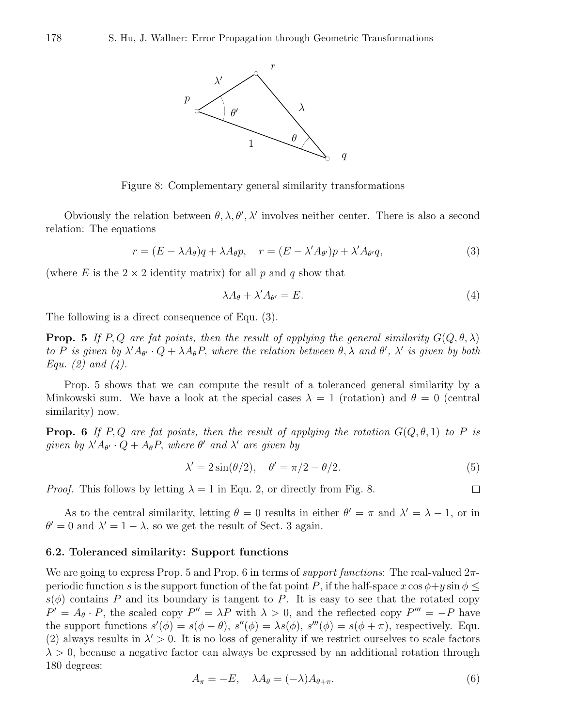

Figure 8: Complementary general similarity transformations

Obviously the relation between  $\theta$ ,  $\lambda$ ,  $\theta'$ ,  $\lambda'$  involves neither center. There is also a second relation: The equations

$$
r = (E - \lambda A_{\theta})q + \lambda A_{\theta}p, \quad r = (E - \lambda' A_{\theta'})p + \lambda' A_{\theta'}q,
$$
\n(3)

(where E is the  $2 \times 2$  identity matrix) for all p and q show that

$$
\lambda A_{\theta} + \lambda' A_{\theta'} = E. \tag{4}
$$

The following is a direct consequence of Equ. (3).

**Prop.** 5 If P, Q are fat points, then the result of applying the general similarity  $G(Q, \theta, \lambda)$ to P is given by  $\lambda' A_{\theta'} \cdot Q + \lambda A_{\theta} P$ , where the relation between  $\theta, \lambda$  and  $\theta', \lambda'$  is given by both Equ. (2) and  $(4)$ .

Prop. 5 shows that we can compute the result of a toleranced general similarity by a Minkowski sum. We have a look at the special cases  $\lambda = 1$  (rotation) and  $\theta = 0$  (central similarity) now.

**Prop.** 6 If P, Q are fat points, then the result of applying the rotation  $G(Q, \theta, 1)$  to P is given by  $\lambda' A_{\theta'} \cdot Q + A_{\theta} P$ , where  $\theta'$  and  $\lambda'$  are given by

$$
\lambda' = 2\sin(\theta/2), \quad \theta' = \pi/2 - \theta/2.
$$
\n(5)

 $\Box$ 

*Proof.* This follows by letting  $\lambda = 1$  in Equ. 2, or directly from Fig. 8.

As to the central similarity, letting  $\theta = 0$  results in either  $\theta' = \pi$  and  $\lambda' = \lambda - 1$ , or in  $\theta' = 0$  and  $\lambda' = 1 - \lambda$ , so we get the result of Sect. 3 again.

#### 6.2. Toleranced similarity: Support functions

We are going to express Prop. 5 and Prop. 6 in terms of *support functions*: The real-valued  $2\pi$ periodic function s is the support function of the fat point P, if the half-space  $x \cos \phi + y \sin \phi <$  $s(\phi)$  contains P and its boundary is tangent to P. It is easy to see that the rotated copy  $P' = A_{\theta} \cdot P$ , the scaled copy  $P'' = \lambda P$  with  $\lambda > 0$ , and the reflected copy  $P''' = -P$  have the support functions  $s'(\phi) = s(\phi - \theta)$ ,  $s''(\phi) = \lambda s(\phi)$ ,  $s'''(\phi) = s(\phi + \pi)$ , respectively. Equ. (2) always results in  $\lambda' > 0$ . It is no loss of generality if we restrict ourselves to scale factors  $\lambda > 0$ , because a negative factor can always be expressed by an additional rotation through 180 degrees:

$$
A_{\pi} = -E, \quad \lambda A_{\theta} = (-\lambda)A_{\theta + \pi}.
$$
\n<sup>(6)</sup>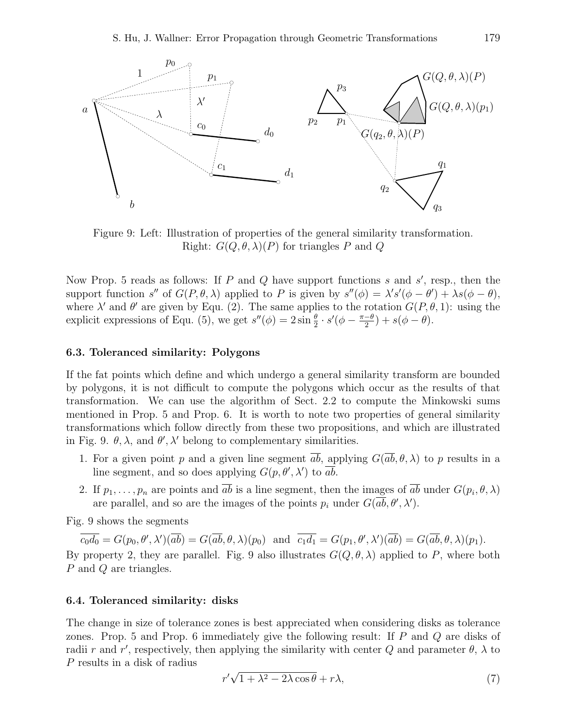



Figure 9: Left: Illustration of properties of the general similarity transformation. Right:  $G(Q, \theta, \lambda)(P)$  for triangles P and Q

Now Prop. 5 reads as follows: If  $P$  and  $Q$  have support functions  $s$  and  $s'$ , resp., then the support function s'' of  $G(P, \theta, \lambda)$  applied to P is given by  $s''(\phi) = \lambda's'(\phi - \theta') + \lambda s(\phi - \theta)$ , where  $\lambda'$  and  $\theta'$  are given by Equ. (2). The same applies to the rotation  $G(P, \theta, 1)$ : using the explicit expressions of Equ. (5), we get  $s''(\phi) = 2 \sin \frac{\theta}{2} \cdot s'(\phi - \frac{\pi - \theta}{2})$  $\frac{-\theta}{2}$ ) + s( $\phi - \theta$ ).

#### 6.3. Toleranced similarity: Polygons

If the fat points which define and which undergo a general similarity transform are bounded by polygons, it is not difficult to compute the polygons which occur as the results of that transformation. We can use the algorithm of Sect. 2.2 to compute the Minkowski sums mentioned in Prop. 5 and Prop. 6. It is worth to note two properties of general similarity transformations which follow directly from these two propositions, and which are illustrated in Fig. 9.  $\theta$ ,  $\lambda$ , and  $\theta'$ ,  $\lambda'$  belong to complementary similarities.

- 1. For a given point p and a given line segment  $\overline{ab}$ , applying  $G(\overline{ab}, \theta, \lambda)$  to p results in a line segment, and so does applying  $G(p, \theta', \lambda')$  to  $\overline{ab}$ .
- 2. If  $p_1, \ldots, p_n$  are points and ab is a line segment, then the images of ab under  $G(p_i, \theta, \lambda)$ are parallel, and so are the images of the points  $p_i$  under  $G(\overline{ab}, \theta', \lambda')$ .

Fig. 9 shows the segments

 $\overline{c_0d_0} = G(p_0, \theta', \lambda')(\overline{ab}) = G(\overline{ab}, \theta, \lambda)(p_0)$  and  $\overline{c_1d_1} = G(p_1, \theta', \lambda')(\overline{ab}) = G(\overline{ab}, \theta, \lambda)(p_1)$ . By property 2, they are parallel. Fig. 9 also illustrates  $G(Q, \theta, \lambda)$  applied to P, where both P and Q are triangles.

#### 6.4. Toleranced similarity: disks

The change in size of tolerance zones is best appreciated when considering disks as tolerance zones. Prop. 5 and Prop. 6 immediately give the following result: If  $P$  and  $Q$  are disks of radii r and r', respectively, then applying the similarity with center Q and parameter  $\theta$ ,  $\lambda$  to P results in a disk of radius

$$
r'\sqrt{1+\lambda^2-2\lambda\cos\theta} + r\lambda,\tag{7}
$$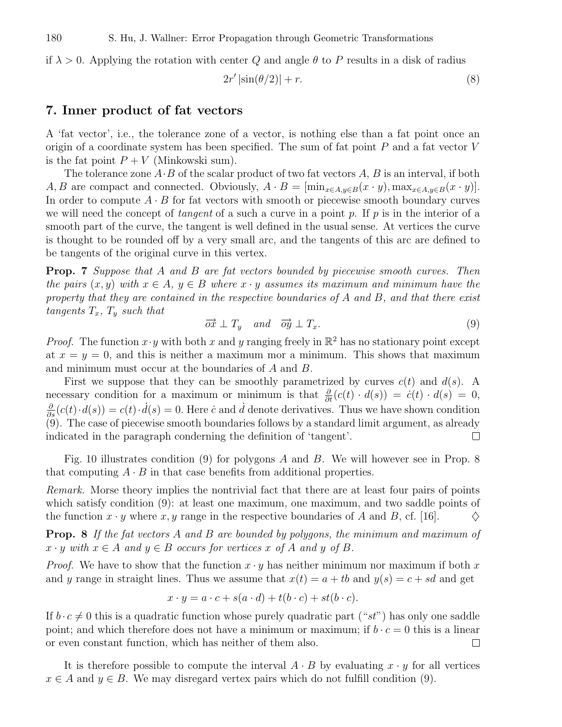if  $\lambda > 0$ . Applying the rotation with center Q and angle  $\theta$  to P results in a disk of radius

$$
2r' \left| \sin(\theta/2) \right| + r. \tag{8}
$$

## 7. Inner product of fat vectors

A 'fat vector', i.e., the tolerance zone of a vector, is nothing else than a fat point once an origin of a coordinate system has been specified. The sum of fat point  $P$  and a fat vector  $V$ is the fat point  $P + V$  (Minkowski sum).

The tolerance zone  $A \cdot B$  of the scalar product of two fat vectors A, B is an interval, if both A, B are compact and connected. Obviously,  $A \cdot B = [\min_{x \in A, y \in B} (x \cdot y), \max_{x \in A, y \in B} (x \cdot y)].$ In order to compute  $A \cdot B$  for fat vectors with smooth or piecewise smooth boundary curves we will need the concept of *tangent* of a such a curve in a point p. If p is in the interior of a smooth part of the curve, the tangent is well defined in the usual sense. At vertices the curve is thought to be rounded off by a very small arc, and the tangents of this arc are defined to be tangents of the original curve in this vertex.

**Prop. 7** Suppose that A and B are fat vectors bounded by piecewise smooth curves. Then the pairs  $(x, y)$  with  $x \in A$ ,  $y \in B$  where  $x \cdot y$  assumes its maximum and minimum have the property that they are contained in the respective boundaries of A and B, and that there exist tangents  $T_x$ ,  $T_y$  such that

$$
\overrightarrow{ox} \perp T_y \quad and \quad \overrightarrow{oy} \perp T_x. \tag{9}
$$

*Proof.* The function  $x \cdot y$  with both x and y ranging freely in  $\mathbb{R}^2$  has no stationary point except at  $x = y = 0$ , and this is neither a maximum mor a minimum. This shows that maximum and minimum must occur at the boundaries of A and B.

First we suppose that they can be smoothly parametrized by curves  $c(t)$  and  $d(s)$ . A necessary condition for a maximum or minimum is that  $\frac{\partial}{\partial t}(c(t) \cdot d(s)) = \dot{c}(t) \cdot d(s) = 0$ ,  $\frac{\partial}{\partial s}(c(t)\cdot d(s)) = c(t)\cdot d(s) = 0.$  Here c and d denote derivatives. Thus we have shown condition ∂ (9). The case of piecewise smooth boundaries follows by a standard limit argument, as already indicated in the paragraph conderning the definition of 'tangent'. П

Fig. 10 illustrates condition (9) for polygons  $A$  and  $B$ . We will however see in Prop. 8 that computing  $A \cdot B$  in that case benefits from additional properties.

Remark. Morse theory implies the nontrivial fact that there are at least four pairs of points which satisfy condition (9): at least one maximum, one maximum, and two saddle points of the function  $x \cdot y$  where  $x, y$  range in the respective boundaries of A and B, cf. [16].  $\Diamond$ 

**Prop.** 8 If the fat vectors A and B are bounded by polygons, the minimum and maximum of  $x \cdot y$  with  $x \in A$  and  $y \in B$  occurs for vertices x of A and y of B.

*Proof.* We have to show that the function  $x \cdot y$  has neither minimum nor maximum if both x and y range in straight lines. Thus we assume that  $x(t) = a + tb$  and  $y(s) = c + sd$  and get

$$
x \cdot y = a \cdot c + s(a \cdot d) + t(b \cdot c) + st(b \cdot c).
$$

If  $b \cdot c \neq 0$  this is a quadratic function whose purely quadratic part ("st") has only one saddle point; and which therefore does not have a minimum or maximum; if  $b \cdot c = 0$  this is a linear or even constant function, which has neither of them also. or even constant function, which has neither of them also.

It is therefore possible to compute the interval  $A \cdot B$  by evaluating  $x \cdot y$  for all vertices  $x \in A$  and  $y \in B$ . We may disregard vertex pairs which do not fulfill condition (9).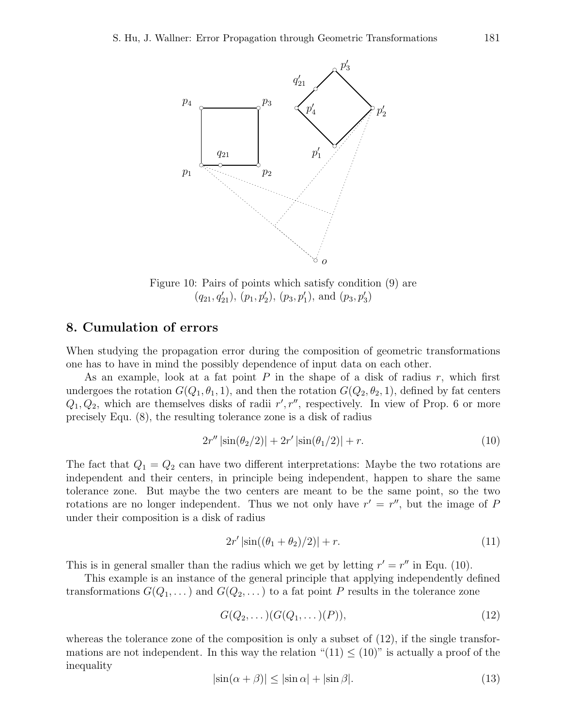

Figure 10: Pairs of points which satisfy condition (9) are  $(q_{21}, q'_{21}), (p_1, p'_2), (p_3, p'_1), \text{ and } (p_3, p'_3)$ 

## 8. Cumulation of errors

When studying the propagation error during the composition of geometric transformations one has to have in mind the possibly dependence of input data on each other.

As an example, look at a fat point  $P$  in the shape of a disk of radius  $r$ , which first undergoes the rotation  $G(Q_1, \theta_1, 1)$ , and then the rotation  $G(Q_2, \theta_2, 1)$ , defined by fat centers  $Q_1, Q_2$ , which are themselves disks of radii  $r', r''$ , respectively. In view of Prop. 6 or more precisely Equ. (8), the resulting tolerance zone is a disk of radius

$$
2r''\left|\sin(\theta_2/2)\right| + 2r'\left|\sin(\theta_1/2)\right| + r.\tag{10}
$$

The fact that  $Q_1 = Q_2$  can have two different interpretations: Maybe the two rotations are independent and their centers, in principle being independent, happen to share the same tolerance zone. But maybe the two centers are meant to be the same point, so the two rotations are no longer independent. Thus we not only have  $r' = r''$ , but the image of P under their composition is a disk of radius

$$
2r' |\sin((\theta_1 + \theta_2)/2)| + r.
$$
 (11)

This is in general smaller than the radius which we get by letting  $r' = r''$  in Equ. (10).

This example is an instance of the general principle that applying independently defined transformations  $G(Q_1, \ldots)$  and  $G(Q_2, \ldots)$  to a fat point P results in the tolerance zone

$$
G(Q_2,\ldots)(G(Q_1,\ldots)(P)),\tag{12}
$$

whereas the tolerance zone of the composition is only a subset of  $(12)$ , if the single transformations are not independent. In this way the relation " $(11) \leq (10)$ " is actually a proof of the inequality

$$
|\sin(\alpha + \beta)| \le |\sin \alpha| + |\sin \beta|.
$$
 (13)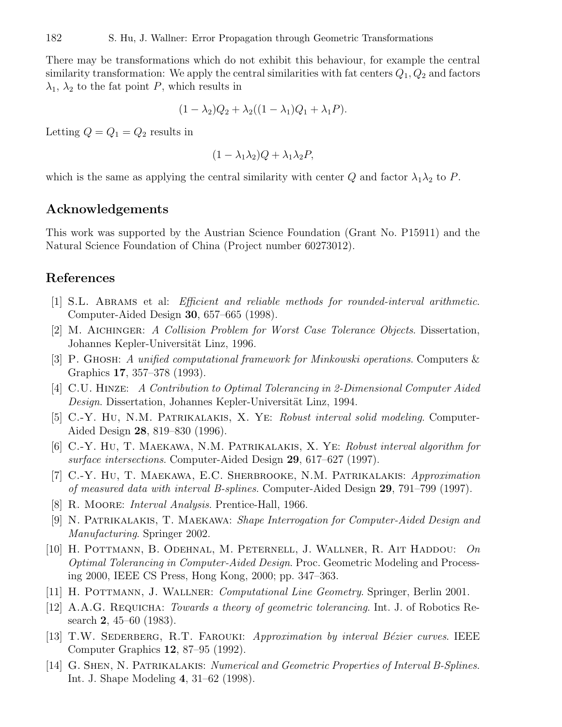There may be transformations which do not exhibit this behaviour, for example the central similarity transformation: We apply the central similarities with fat centers  $Q_1, Q_2$  and factors  $\lambda_1$ ,  $\lambda_2$  to the fat point P, which results in

$$
(1-\lambda_2)Q_2+\lambda_2((1-\lambda_1)Q_1+\lambda_1P).
$$

Letting  $Q = Q_1 = Q_2$  results in

$$
(1 - \lambda_1 \lambda_2)Q + \lambda_1 \lambda_2 P,
$$

which is the same as applying the central similarity with center Q and factor  $\lambda_1 \lambda_2$  to P.

## Acknowledgements

This work was supported by the Austrian Science Foundation (Grant No. P15911) and the Natural Science Foundation of China (Project number 60273012).

## References

- [1] S.L. Abrams et al: Efficient and reliable methods for rounded-interval arithmetic. Computer-Aided Design 30, 657–665 (1998).
- [2] M. Aichinger: A Collision Problem for Worst Case Tolerance Objects. Dissertation, Johannes Kepler-Universität Linz, 1996.
- [3] P. Ghosh: A unified computational framework for Minkowski operations. Computers & Graphics 17, 357–378 (1993).
- [4] C.U. Hinze: A Contribution to Optimal Tolerancing in 2-Dimensional Computer Aided Design. Dissertation, Johannes Kepler-Universität Linz, 1994.
- [5] C.-Y. Hu, N.M. Patrikalakis, X. Ye: Robust interval solid modeling. Computer-Aided Design 28, 819–830 (1996).
- [6] C.-Y. Hu, T. Maekawa, N.M. Patrikalakis, X. Ye: Robust interval algorithm for surface intersections. Computer-Aided Design 29, 617–627 (1997).
- [7] C.-Y. Hu, T. MAEKAWA, E.C. SHERBROOKE, N.M. PATRIKALAKIS: Approximation of measured data with interval B-splines. Computer-Aided Design 29, 791–799 (1997).
- [8] R. Moore: Interval Analysis. Prentice-Hall, 1966.
- [9] N. Patrikalakis, T. Maekawa: Shape Interrogation for Computer-Aided Design and Manufacturing. Springer 2002.
- [10] H. Pottmann, B. Odehnal, M. Peternell, J. Wallner, R. Ait Haddou: On Optimal Tolerancing in Computer-Aided Design. Proc. Geometric Modeling and Processing 2000, IEEE CS Press, Hong Kong, 2000; pp. 347–363.
- [11] H. Pottmann, J. Wallner: Computational Line Geometry. Springer, Berlin 2001.
- [12] A.A.G. REQUICHA: Towards a theory of geometric tolerancing. Int. J. of Robotics Research 2, 45–60 (1983).
- [13] T.W. SEDERBERG, R.T. FAROUKI: Approximation by interval Bézier curves. IEEE Computer Graphics 12, 87–95 (1992).
- [14] G. Shen, N. Patrikalakis: Numerical and Geometric Properties of Interval B-Splines. Int. J. Shape Modeling 4, 31–62 (1998).